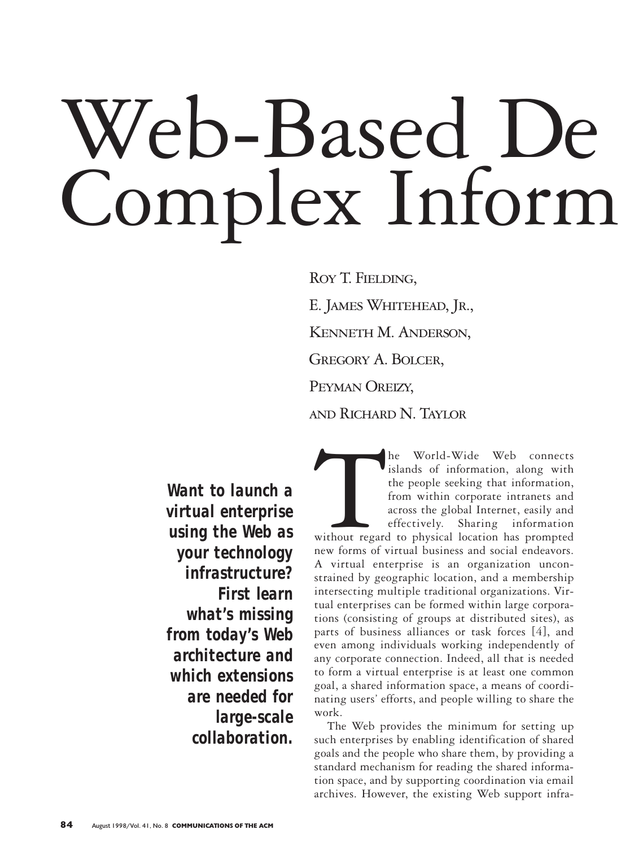## Web-Based De Complex Inform

Roy T. Fielding, E. James Whitehead, Jr., Kenneth M. Anderson, Gregory A. Bolcer, PEYMAN OREIZY, and Richard N. Taylor

*Want to launch a virtual enterprise using the Web as your technology infrastructure? First learn what's missing from today's Web architecture and which extensions are needed for large-scale collaboration.* 

The World-Wide Web connects<br>
islands of information, along with<br>
the people seeking that information,<br>
from within corporate intranets and<br>
across the global Internet, easily and<br>
effectively. Sharing information<br>
without islands of information, along with the people seeking that information, from within corporate intranets and across the global Internet, easily and effectively. Sharing information without regard to physical location has prompted new forms of virtual business and social endeavors. A virtual enterprise is an organization unconstrained by geographic location, and a membership intersecting multiple traditional organizations. Virtual enterprises can be formed within large corporations (consisting of groups at distributed sites), as parts of business alliances or task forces [4], and even among individuals working independently of any corporate connection. Indeed, all that is needed to form a virtual enterprise is at least one common goal, a shared information space, a means of coordinating users' efforts, and people willing to share the work.

The Web provides the minimum for setting up such enterprises by enabling identification of shared goals and the people who share them, by providing a standard mechanism for reading the shared information space, and by supporting coordination via email archives. However, the existing Web support infra-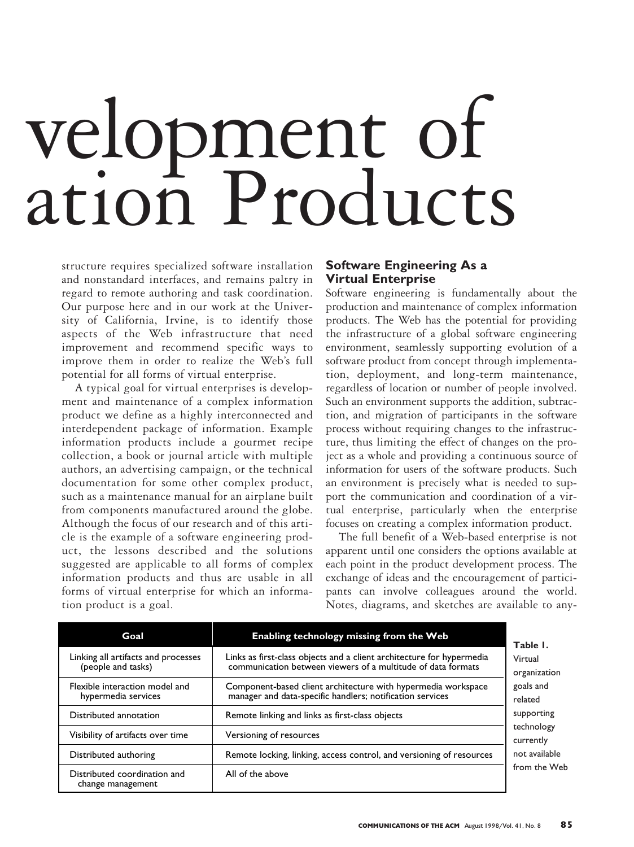# velopment of ation Products

structure requires specialized software installation and nonstandard interfaces, and remains paltry in regard to remote authoring and task coordination. Our purpose here and in our work at the University of California, Irvine, is to identify those aspects of the Web infrastructure that need improvement and recommend specific ways to improve them in order to realize the Web's full potential for all forms of virtual enterprise.

A typical goal for virtual enterprises is development and maintenance of a complex information product we define as a highly interconnected and interdependent package of information. Example information products include a gourmet recipe collection, a book or journal article with multiple authors, an advertising campaign, or the technical documentation for some other complex product, such as a maintenance manual for an airplane built from components manufactured around the globe. Although the focus of our research and of this article is the example of a software engineering product, the lessons described and the solutions suggested are applicable to all forms of complex information products and thus are usable in all forms of virtual enterprise for which an information product is a goal.

## **Software Engineering As a Virtual Enterprise**

Software engineering is fundamentally about the production and maintenance of complex information products. The Web has the potential for providing the infrastructure of a global software engineering environment, seamlessly supporting evolution of a software product from concept through implementation, deployment, and long-term maintenance, regardless of location or number of people involved. Such an environment supports the addition, subtraction, and migration of participants in the software process without requiring changes to the infrastructure, thus limiting the effect of changes on the project as a whole and providing a continuous source of information for users of the software products. Such an environment is precisely what is needed to support the communication and coordination of a virtual enterprise, particularly when the enterprise focuses on creating a complex information product.

The full benefit of a Web-based enterprise is not apparent until one considers the options available at each point in the product development process. The exchange of ideas and the encouragement of participants can involve colleagues around the world. Notes, diagrams, and sketches are available to any-

| Goal                                                      | Enabling technology missing from the Web                                                                                              | Table L.                                                                                                  |
|-----------------------------------------------------------|---------------------------------------------------------------------------------------------------------------------------------------|-----------------------------------------------------------------------------------------------------------|
| Linking all artifacts and processes<br>(people and tasks) | Links as first-class objects and a client architecture for hypermedia<br>communication between viewers of a multitude of data formats | Virtual<br>organization<br>goals and<br>related<br>supporting<br>technology<br>currently<br>not available |
| Flexible interaction model and<br>hypermedia services     | Component-based client architecture with hypermedia workspace<br>manager and data-specific handlers; notification services            |                                                                                                           |
| Distributed annotation                                    | Remote linking and links as first-class objects                                                                                       |                                                                                                           |
| Visibility of artifacts over time                         | Versioning of resources                                                                                                               |                                                                                                           |
| Distributed authoring                                     | Remote locking, linking, access control, and versioning of resources                                                                  |                                                                                                           |
| Distributed coordination and<br>change management         | All of the above                                                                                                                      | from the Web                                                                                              |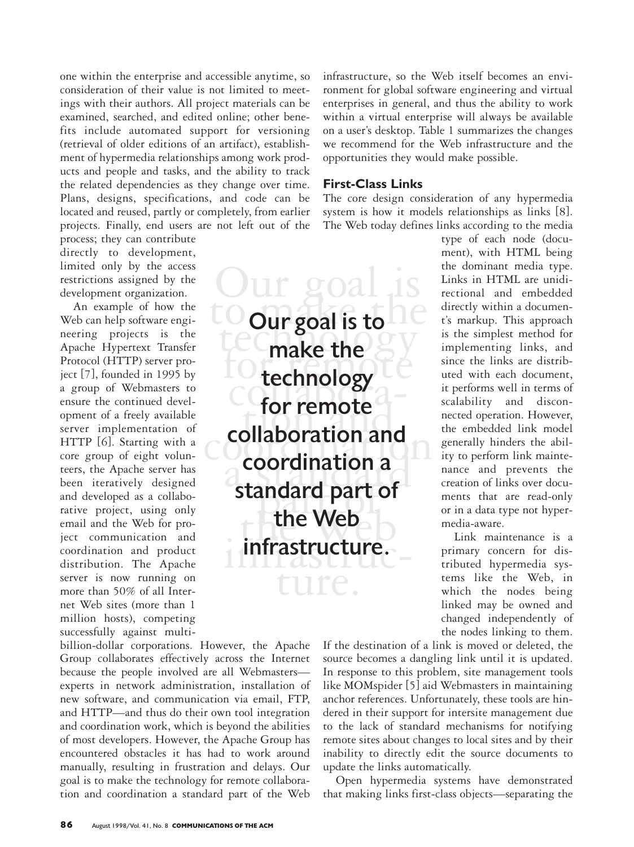one within the enterprise and accessible anytime, so consideration of their value is not limited to meetings with their authors. All project materials can be examined, searched, and edited online; other benefits include automated support for versioning (retrieval of older editions of an artifact), establishment of hypermedia relationships among work products and people and tasks, and the ability to track the related dependencies as they change over time. Plans, designs, specifications, and code can be located and reused, partly or completely, from earlier projects. Finally, end users are not left out of the

process; they can contribute directly to development, limited only by the access restrictions assigned by the development organization.

An example of how the Web can help software engineering projects is the Apache Hypertext Transfer Protocol (HTTP) server project [7], founded in 1995 by a group of Webmasters to ensure the continued development of a freely available server implementation of HTTP [6]. Starting with a core group of eight volunteers, the Apache server has been iteratively designed and developed as a collaborative project, using only email and the Web for project communication and coordination and product distribution. The Apache server is now running on more than 50% of all Internet Web sites (more than 1 million hosts), competing successfully against multi-

billion-dollar corporations. However, the Apache Group collaborates effectively across the Internet because the people involved are all Webmasters experts in network administration, installation of new software, and communication via email, FTP, and HTTP—and thus do their own tool integration and coordination work, which is beyond the abilities of most developers. However, the Apache Group has encountered obstacles it has had to work around manually, resulting in frustration and delays. Our goal is to make the technology for remote collaboration and coordination a standard part of the Web

infrastructure, so the Web itself becomes an environment for global software engineering and virtual enterprises in general, and thus the ability to work within a virtual enterprise will always be available on a user's desktop. Table 1 summarizes the changes we recommend for the Web infrastructure and the opportunities they would make possible.

### **First-Class Links**

The core design consideration of any hypermedia system is how it models relationships as links [8]. The Web today defines links according to the media

Our goal is to defined is to the technology for remote<br>collaboration and coordination a<br>standard part of the Web infrastructure. rastru<br>ture. Our goal is to make the technology for remote collaboration and coordination a standard part of the Web infrastructure.

type of each node (document), with HTML being the dominant media type. Links in HTML are unidirectional and embedded directly within a document's markup. This approach is the simplest method for implementing links, and since the links are distributed with each document, it performs well in terms of scalability and disconnected operation. However, the embedded link model generally hinders the ability to perform link maintenance and prevents the creation of links over documents that are read-only or in a data type not hypermedia-aware.

Link maintenance is a primary concern for distributed hypermedia systems like the Web, in which the nodes being linked may be owned and changed independently of the nodes linking to them.

If the destination of a link is moved or deleted, the source becomes a dangling link until it is updated. In response to this problem, site management tools like MOMspider [5] aid Webmasters in maintaining anchor references. Unfortunately, these tools are hindered in their support for intersite management due to the lack of standard mechanisms for notifying remote sites about changes to local sites and by their inability to directly edit the source documents to update the links automatically.

Open hypermedia systems have demonstrated that making links first-class objects—separating the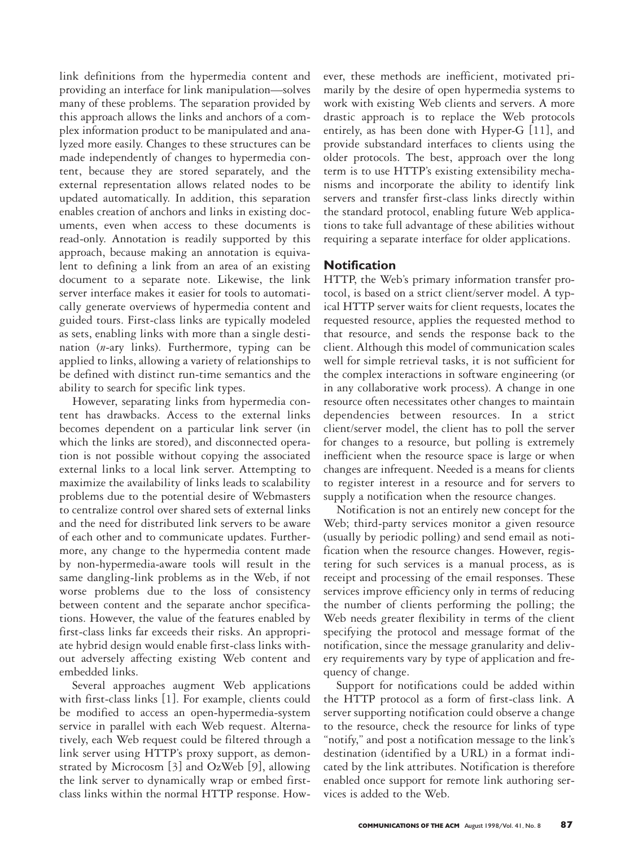link definitions from the hypermedia content and providing an interface for link manipulation—solves many of these problems. The separation provided by this approach allows the links and anchors of a complex information product to be manipulated and analyzed more easily. Changes to these structures can be made independently of changes to hypermedia content, because they are stored separately, and the external representation allows related nodes to be updated automatically. In addition, this separation enables creation of anchors and links in existing documents, even when access to these documents is read-only. Annotation is readily supported by this approach, because making an annotation is equivalent to defining a link from an area of an existing document to a separate note. Likewise, the link server interface makes it easier for tools to automatically generate overviews of hypermedia content and guided tours. First-class links are typically modeled as sets, enabling links with more than a single destination (*n*-ary links). Furthermore, typing can be applied to links, allowing a variety of relationships to be defined with distinct run-time semantics and the ability to search for specific link types.

However, separating links from hypermedia content has drawbacks. Access to the external links becomes dependent on a particular link server (in which the links are stored), and disconnected operation is not possible without copying the associated external links to a local link server. Attempting to maximize the availability of links leads to scalability problems due to the potential desire of Webmasters to centralize control over shared sets of external links and the need for distributed link servers to be aware of each other and to communicate updates. Furthermore, any change to the hypermedia content made by non-hypermedia-aware tools will result in the same dangling-link problems as in the Web, if not worse problems due to the loss of consistency between content and the separate anchor specifications. However, the value of the features enabled by first-class links far exceeds their risks. An appropriate hybrid design would enable first-class links without adversely affecting existing Web content and embedded links.

Several approaches augment Web applications with first-class links [1]. For example, clients could be modified to access an open-hypermedia-system service in parallel with each Web request. Alternatively, each Web request could be filtered through a link server using HTTP's proxy support, as demonstrated by Microcosm [3] and OzWeb [9], allowing the link server to dynamically wrap or embed firstclass links within the normal HTTP response. However, these methods are inefficient, motivated primarily by the desire of open hypermedia systems to work with existing Web clients and servers. A more drastic approach is to replace the Web protocols entirely, as has been done with Hyper-G [11], and provide substandard interfaces to clients using the older protocols. The best, approach over the long term is to use HTTP's existing extensibility mechanisms and incorporate the ability to identify link servers and transfer first-class links directly within the standard protocol, enabling future Web applications to take full advantage of these abilities without requiring a separate interface for older applications.

### **Notification**

HTTP, the Web's primary information transfer protocol, is based on a strict client/server model. A typical HTTP server waits for client requests, locates the requested resource, applies the requested method to that resource, and sends the response back to the client. Although this model of communication scales well for simple retrieval tasks, it is not sufficient for the complex interactions in software engineering (or in any collaborative work process). A change in one resource often necessitates other changes to maintain dependencies between resources. In a strict client/server model, the client has to poll the server for changes to a resource, but polling is extremely inefficient when the resource space is large or when changes are infrequent. Needed is a means for clients to register interest in a resource and for servers to supply a notification when the resource changes.

Notification is not an entirely new concept for the Web; third-party services monitor a given resource (usually by periodic polling) and send email as notification when the resource changes. However, registering for such services is a manual process, as is receipt and processing of the email responses. These services improve efficiency only in terms of reducing the number of clients performing the polling; the Web needs greater flexibility in terms of the client specifying the protocol and message format of the notification, since the message granularity and delivery requirements vary by type of application and frequency of change.

Support for notifications could be added within the HTTP protocol as a form of first-class link. A server supporting notification could observe a change to the resource, check the resource for links of type "notify," and post a notification message to the link's destination (identified by a URL) in a format indicated by the link attributes. Notification is therefore enabled once support for remote link authoring services is added to the Web.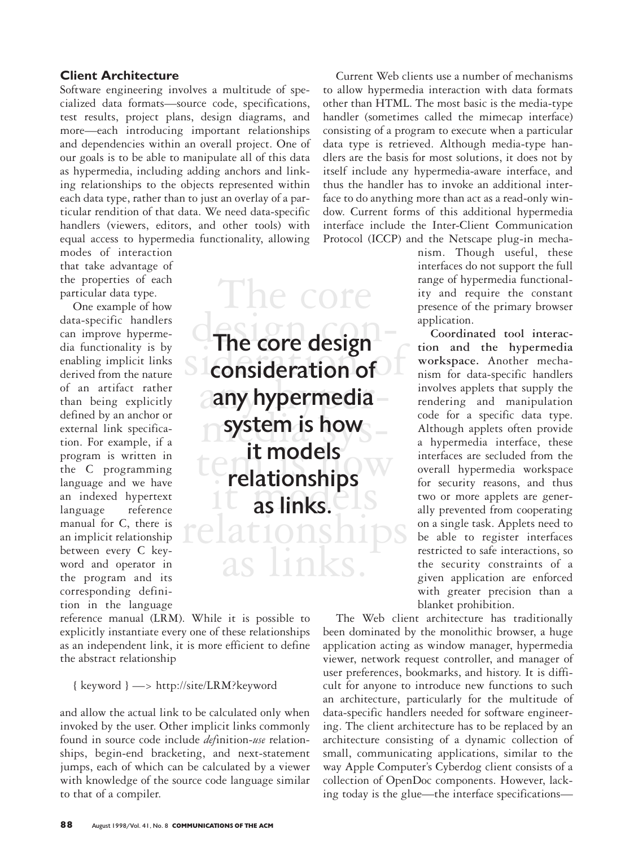### **Client Architecture**

Software engineering involves a multitude of specialized data formats—source code, specifications, test results, project plans, design diagrams, and more—each introducing important relationships and dependencies within an overall project. One of our goals is to be able to manipulate all of this data as hypermedia, including adding anchors and linking relationships to the objects represented within each data type, rather than to just an overlay of a particular rendition of that data. We need data-specific handlers (viewers, editors, and other tools) with equal access to hypermedia functionality, allowing

modes of interaction that take advantage of the properties of each particular data type.

One example of how data-specific handlers can improve hypermedia functionality is by enabling implicit links derived from the nature of an artifact rather than being explicitly defined by an anchor or external link specification. For example, if a program is written in the C programming language and we have an indexed hypertext language reference manual for C, there is an implicit relationship between every C keyword and operator in the program and its corresponding definition in the language

reference manual (LRM). While it is possible to explicitly instantiate every one of these relationships as an independent link, it is more efficient to define the abstract relationship

{ keyword } —> http://site/LRM?keyword

and allow the actual link to be calculated only when invoked by the user. Other implicit links commonly found in source code include *def*inition-*use* relationships, begin-end bracketing, and next-statement jumps, each of which can be calculated by a viewer with knowledge of the source code language similar to that of a compiler.

The core The core design – also the core design<br>Suconsideration of any hypermedia- $\frac{1}{\pi}$  system is how  $t \in$  it models<br>relationships relationships<br> **1** as links. relationships<br>as links. any hypermedia it models as links.

Current Web clients use a number of mechanisms to allow hypermedia interaction with data formats other than HTML. The most basic is the media-type handler (sometimes called the mimecap interface) consisting of a program to execute when a particular data type is retrieved. Although media-type handlers are the basis for most solutions, it does not by itself include any hypermedia-aware interface, and thus the handler has to invoke an additional interface to do anything more than act as a read-only window. Current forms of this additional hypermedia interface include the Inter-Client Communication Protocol (ICCP) and the Netscape plug-in mecha-

> nism. Though useful, these interfaces do not support the full range of hypermedia functionality and require the constant presence of the primary browser application.

**Coordinated tool interaction and the hypermedia workspace.** Another mechanism for data-specific handlers involves applets that supply the rendering and manipulation code for a specific data type. Although applets often provide a hypermedia interface, these interfaces are secluded from the overall hypermedia workspace for security reasons, and thus two or more applets are generally prevented from cooperating on a single task. Applets need to be able to register interfaces restricted to safe interactions, so the security constraints of a given application are enforced with greater precision than a blanket prohibition.

The Web client architecture has traditionally been dominated by the monolithic browser, a huge application acting as window manager, hypermedia viewer, network request controller, and manager of user preferences, bookmarks, and history. It is difficult for anyone to introduce new functions to such an architecture, particularly for the multitude of data-specific handlers needed for software engineering. The client architecture has to be replaced by an architecture consisting of a dynamic collection of small, communicating applications, similar to the way Apple Computer's Cyberdog client consists of a collection of OpenDoc components. However, lacking today is the glue—the interface specifications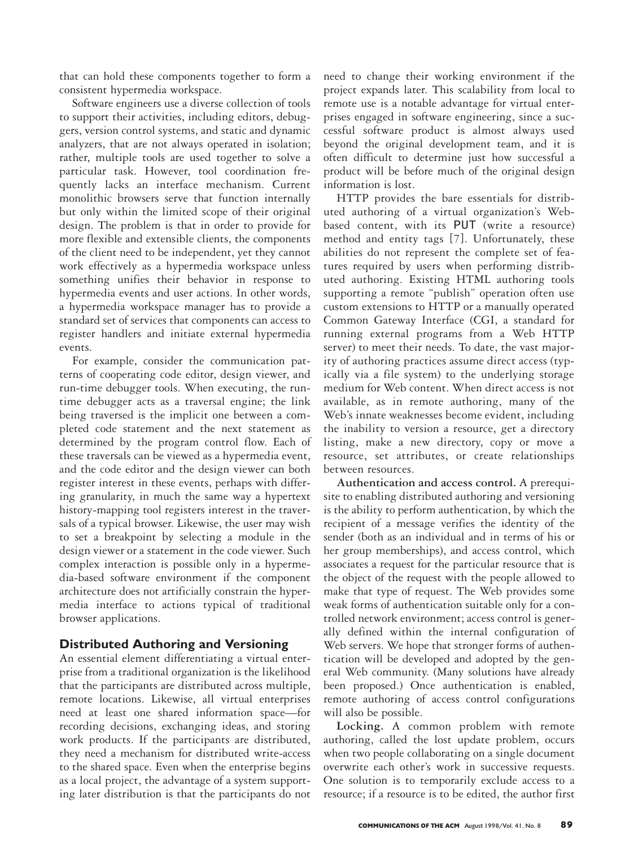that can hold these components together to form a consistent hypermedia workspace.

Software engineers use a diverse collection of tools to support their activities, including editors, debuggers, version control systems, and static and dynamic analyzers, that are not always operated in isolation; rather, multiple tools are used together to solve a particular task. However, tool coordination frequently lacks an interface mechanism. Current monolithic browsers serve that function internally but only within the limited scope of their original design. The problem is that in order to provide for more flexible and extensible clients, the components of the client need to be independent, yet they cannot work effectively as a hypermedia workspace unless something unifies their behavior in response to hypermedia events and user actions. In other words, a hypermedia workspace manager has to provide a standard set of services that components can access to register handlers and initiate external hypermedia events.

For example, consider the communication patterns of cooperating code editor, design viewer, and run-time debugger tools. When executing, the runtime debugger acts as a traversal engine; the link being traversed is the implicit one between a completed code statement and the next statement as determined by the program control flow. Each of these traversals can be viewed as a hypermedia event, and the code editor and the design viewer can both register interest in these events, perhaps with differing granularity, in much the same way a hypertext history-mapping tool registers interest in the traversals of a typical browser. Likewise, the user may wish to set a breakpoint by selecting a module in the design viewer or a statement in the code viewer. Such complex interaction is possible only in a hypermedia-based software environment if the component architecture does not artificially constrain the hypermedia interface to actions typical of traditional browser applications.

## **Distributed Authoring and Versioning**

An essential element differentiating a virtual enterprise from a traditional organization is the likelihood that the participants are distributed across multiple, remote locations. Likewise, all virtual enterprises need at least one shared information space—for recording decisions, exchanging ideas, and storing work products. If the participants are distributed, they need a mechanism for distributed write-access to the shared space. Even when the enterprise begins as a local project, the advantage of a system supporting later distribution is that the participants do not need to change their working environment if the project expands later. This scalability from local to remote use is a notable advantage for virtual enterprises engaged in software engineering, since a successful software product is almost always used beyond the original development team, and it is often difficult to determine just how successful a product will be before much of the original design information is lost.

HTTP provides the bare essentials for distributed authoring of a virtual organization's Webbased content, with its PUT (write a resource) method and entity tags [7]. Unfortunately, these abilities do not represent the complete set of features required by users when performing distributed authoring. Existing HTML authoring tools supporting a remote "publish" operation often use custom extensions to HTTP or a manually operated Common Gateway Interface (CGI, a standard for running external programs from a Web HTTP server) to meet their needs. To date, the vast majority of authoring practices assume direct access (typically via a file system) to the underlying storage medium for Web content. When direct access is not available, as in remote authoring, many of the Web's innate weaknesses become evident, including the inability to version a resource, get a directory listing, make a new directory, copy or move a resource, set attributes, or create relationships between resources.

**Authentication and access control.** A prerequisite to enabling distributed authoring and versioning is the ability to perform authentication, by which the recipient of a message verifies the identity of the sender (both as an individual and in terms of his or her group memberships), and access control, which associates a request for the particular resource that is the object of the request with the people allowed to make that type of request. The Web provides some weak forms of authentication suitable only for a controlled network environment; access control is generally defined within the internal configuration of Web servers. We hope that stronger forms of authentication will be developed and adopted by the general Web community. (Many solutions have already been proposed.) Once authentication is enabled, remote authoring of access control configurations will also be possible.

**Locking.** A common problem with remote authoring, called the lost update problem, occurs when two people collaborating on a single document overwrite each other's work in successive requests. One solution is to temporarily exclude access to a resource; if a resource is to be edited, the author first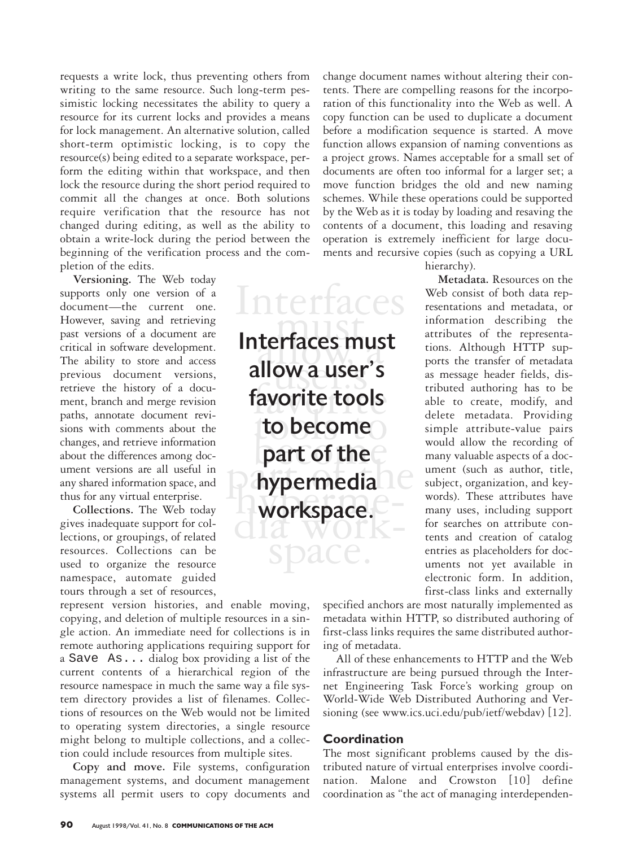requests a write lock, thus preventing others from writing to the same resource. Such long-term pessimistic locking necessitates the ability to query a resource for its current locks and provides a means for lock management. An alternative solution, called short-term optimistic locking, is to copy the resource(s) being edited to a separate workspace, perform the editing within that workspace, and then lock the resource during the short period required to commit all the changes at once. Both solutions require verification that the resource has not changed during editing, as well as the ability to obtain a write-lock during the period between the beginning of the verification process and the completion of the edits.

**Versioning.** The Web today supports only one version of a document—the current one. However, saving and retrieving past versions of a document are critical in software development. The ability to store and access previous document versions, retrieve the history of a document, branch and merge revision paths, annotate document revisions with comments about the changes, and retrieve information about the differences among document versions are all useful in any shared information space, and thus for any virtual enterprise.

**Collections.** The Web today gives inadequate support for collections, or groupings, of related resources. Collections can be used to organize the resource namespace, automate guided tours through a set of resources,

represent version histories, and enable moving, copying, and deletion of multiple resources in a single action. An immediate need for collections is in remote authoring applications requiring support for a Save As... dialog box providing a list of the current contents of a hierarchical region of the resource namespace in much the same way a file system directory provides a list of filenames. Collections of resources on the Web would not be limited to operating system directories, a single resource might belong to multiple collections, and a collection could include resources from multiple sites.

**Copy and move.** File systems, configuration management systems, and document management systems all permit users to copy documents and change document names without altering their contents. There are compelling reasons for the incorporation of this functionality into the Web as well. A copy function can be used to duplicate a document before a modification sequence is started. A move function allows expansion of naming conventions as a project grows. Names acceptable for a small set of documents are often too informal for a larger set; a move function bridges the old and new naming schemes. While these operations could be supported by the Web as it is today by loading and resaving the contents of a document, this loading and resaving operation is extremely inefficient for large documents and recursive copies (such as copying a URL

hierarchy).

**Metadata.** Resources on the Web consist of both data representations and metadata, or information describing the attributes of the representations. Although HTTP supports the transfer of metadata as message header fields, distributed authoring has to be able to create, modify, and delete metadata. Providing simple attribute-value pairs would allow the recording of many valuable aspects of a document (such as author, title, subject, organization, and keywords). These attributes have many uses, including support for searches on attribute contents and creation of catalog entries as placeholders for documents not yet available in electronic form. In addition, first-class links and externally

specified anchors are most naturally implemented as metadata within HTTP, so distributed authoring of first-class links requires the same distributed authoring of metadata.

All of these enhancements to HTTP and the Web infrastructure are being pursued through the Internet Engineering Task Force's working group on World-Wide Web Distributed Authoring and Versioning (see www.ics.uci.edu/pub/ietf/webdav) [12].

## **Coordination**

The most significant problems caused by the distributed nature of virtual enterprises involve coordination. Malone and Crowston [10] define coordination as "the act of managing interdependen-

Interfaces must<br>allow a user's<br>favorite tools<br>to become<br>part of the<br>hypermedia workspace. a world<br>space. Interfaces must allow a user's favorite tools to become part of the hypermedia workspace.

Interfaces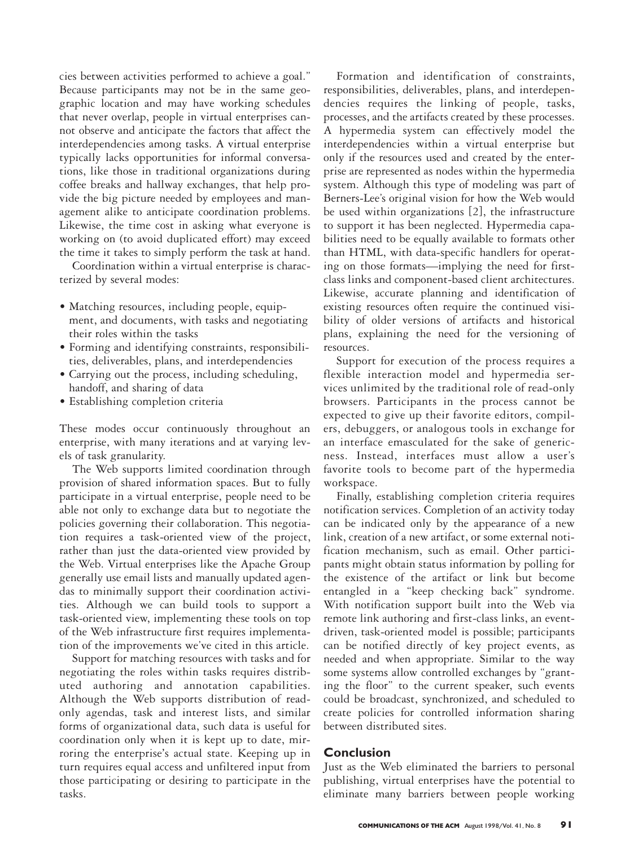cies between activities performed to achieve a goal." Because participants may not be in the same geographic location and may have working schedules that never overlap, people in virtual enterprises cannot observe and anticipate the factors that affect the interdependencies among tasks. A virtual enterprise typically lacks opportunities for informal conversations, like those in traditional organizations during coffee breaks and hallway exchanges, that help provide the big picture needed by employees and management alike to anticipate coordination problems. Likewise, the time cost in asking what everyone is working on (to avoid duplicated effort) may exceed the time it takes to simply perform the task at hand.

Coordination within a virtual enterprise is characterized by several modes:

- Matching resources, including people, equipment, and documents, with tasks and negotiating their roles within the tasks
- Forming and identifying constraints, responsibilities, deliverables, plans, and interdependencies
- Carrying out the process, including scheduling, handoff, and sharing of data
- Establishing completion criteria

These modes occur continuously throughout an enterprise, with many iterations and at varying levels of task granularity.

The Web supports limited coordination through provision of shared information spaces. But to fully participate in a virtual enterprise, people need to be able not only to exchange data but to negotiate the policies governing their collaboration. This negotiation requires a task-oriented view of the project, rather than just the data-oriented view provided by the Web. Virtual enterprises like the Apache Group generally use email lists and manually updated agendas to minimally support their coordination activities. Although we can build tools to support a task-oriented view, implementing these tools on top of the Web infrastructure first requires implementation of the improvements we've cited in this article.

Support for matching resources with tasks and for negotiating the roles within tasks requires distributed authoring and annotation capabilities. Although the Web supports distribution of readonly agendas, task and interest lists, and similar forms of organizational data, such data is useful for coordination only when it is kept up to date, mirroring the enterprise**'**s actual state. Keeping up in turn requires equal access and unfiltered input from those participating or desiring to participate in the tasks.

Formation and identification of constraints, responsibilities, deliverables, plans, and interdependencies requires the linking of people, tasks, processes, and the artifacts created by these processes. A hypermedia system can effectively model the interdependencies within a virtual enterprise but only if the resources used and created by the enterprise are represented as nodes within the hypermedia system. Although this type of modeling was part of Berners-Lee's original vision for how the Web would be used within organizations [2], the infrastructure to support it has been neglected. Hypermedia capabilities need to be equally available to formats other than HTML, with data-specific handlers for operating on those formats—implying the need for firstclass links and component-based client architectures. Likewise, accurate planning and identification of existing resources often require the continued visibility of older versions of artifacts and historical plans, explaining the need for the versioning of resources.

Support for execution of the process requires a flexible interaction model and hypermedia services unlimited by the traditional role of read-only browsers. Participants in the process cannot be expected to give up their favorite editors, compilers, debuggers, or analogous tools in exchange for an interface emasculated for the sake of genericness. Instead, interfaces must allow a user's favorite tools to become part of the hypermedia workspace.

Finally, establishing completion criteria requires notification services. Completion of an activity today can be indicated only by the appearance of a new link, creation of a new artifact, or some external notification mechanism, such as email. Other participants might obtain status information by polling for the existence of the artifact or link but become entangled in a "keep checking back" syndrome. With notification support built into the Web via remote link authoring and first-class links, an eventdriven, task-oriented model is possible; participants can be notified directly of key project events, as needed and when appropriate. Similar to the way some systems allow controlled exchanges by "granting the floor" to the current speaker, such events could be broadcast, synchronized, and scheduled to create policies for controlled information sharing between distributed sites.

### **Conclusion**

Just as the Web eliminated the barriers to personal publishing, virtual enterprises have the potential to eliminate many barriers between people working